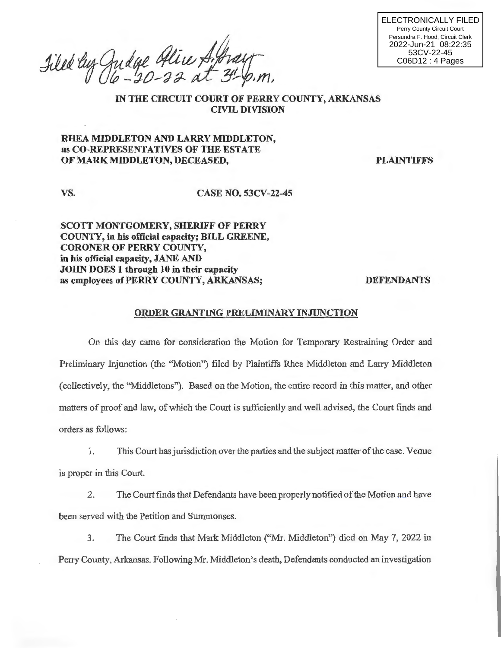Filed by Judge Alice A. Aray

ELECTRONICALLY FILED Perry County Circuit Court Persundra F. Hood, Circuit Clerk 2022-Jun-21 08:22:35 53CV-22-45 C06D12 : 4 Pages

IN THE CIRCUIT COURT OF PERRY COUNTY, ARKANSAS CIVIL DIVISION

## RHEA MIDDLETON AND LARRY MIDDLETON, as CO-REPRESENTATIVES OF THE ESTATE OF MARK MIDDLETON, DECEASED,

**PLAINTIFFS** 

vs. CASE NO. 53CV-22-45

SCOTT MONTGOMERY, SHERIFF OF PERRY COUNTY, in his official capacity; BILL GREENE, CORONER OF PERRY COUNTY, in his official capacity, JANE AND JOHN DOES 1 through 10 in their capacity as employees of PERRY COUNTY, ARKANSAS;

DEFENDANTS

## ORDER GRANTING PRELIMINARY INJUNCTION

On this day came for consideration the Motion for Temporary Restraining Order and Preliminary Injunction (the "Motion") filed by Plaintiffs Rhea Middleton and Larry Middleton (collectively, the "Middletons"). Based on the Motion, the entire record in this matter, and other matters of proof and law, of which the Court is sufficiently and well advised, the Court finds and orders as follows:

1. This Court has jurisdiction over the parties and the subject matter of the case. Venue is proper in this Court.

2. The Court finds that Defendants have been properly notified of the Motion and have been served with the Petition and Summonses.

3. The Court finds that Mark Middleton ("Mr. Middleton") died on May 7, 2022 in Peny County, Arkansas. Following Mr. Middleton's death, Defendants conducted an investigation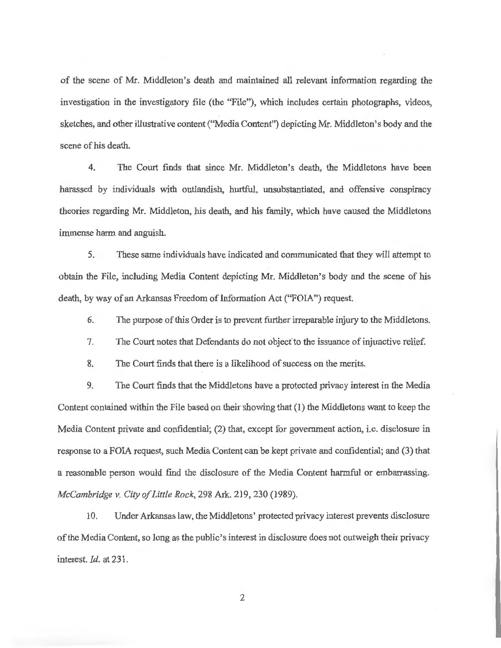of the scene of Mr. Middleton's death and maintained all relevant information regarding the investigation in the investigatory file (the "File"), which includes certain photographs, videos, sketches, and other illustrative content ("Media Content") depicting Mr. Middleton's body and the scene of his death.

4. The Court finds that since Mr. Middleton's death, the Middletons have been harassed by individuals with outlandish, hurtful, unsubstantiated, and offensive conspiracy theories regarding Mr. Middleton, his death, and his family, which have caused the Middletons immense harm and anguish.

5. These same individuals have indicated and communicated that they will attempt to obtain the File, including Media Content depicting Mr. Middleton's body and the scene of his death, by way of an Arkansas Freedom of Information Act ("FOIA") request.

6. The purpose of this Order is to prevent further irreparable injury to the Middletons.

7. The Court notes that Defendants do not object'to the issuance of injunctive relief

8. The Court finds that there is a likelihood of success on the merits.

9. The Court finds that the Middletons have a protected privacy interest in the Media Content contained within the File based on their showing that (1) the Middletons want to keep the Media Content private and confidential; (2) that, except for government action, i.e. disclosure in response to a FOIA request, such Media Content can be kept private and confidential; and (3) that a reasonable person would find the disclosure of the Media Content harmful or embarrassing. *McCambridge v. City of Little Rock,* 298 Ark. 219, 230 (1989).

10. Under Arkansas law, the Middletons' protected privacy interest prevents disclosure of the Media Content, so long as the public's interest in disclosure does not outweigh their privacy interest. *Id.* at 231 .

2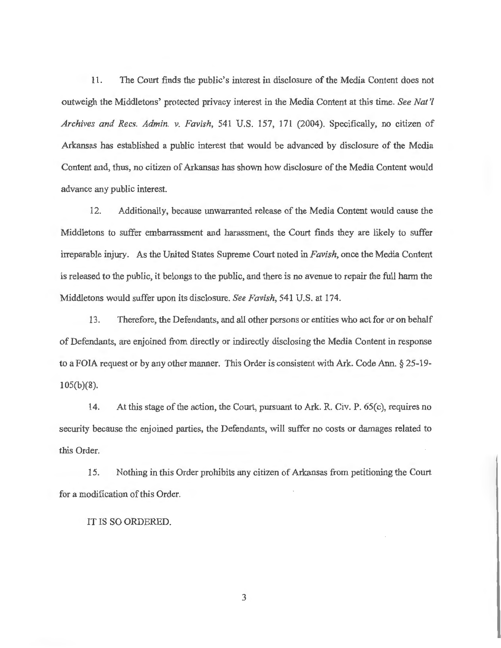11. The Court finds the public's interest in disclosure of the Media Content does not outweigh the Middletons' protected privacy interest in the Media Content at this time. *See Nat'! Archives and Recs. Admin. v. Favish,* 541 U.S. 157, 171 (2004). Specifically, no citizen of Arkansas has established a public interest that would be advanced by disclosure of the Media Content and, thus, no citizen of Arkansas has shown how disclosure of the Media Content would advance any public interest.

12. Additionally, because unwarranted release of the Media Content would cause the Middletons to suffer embarrassment and harassment, the Court finds they are likely to suffer irreparable injury. As the United States Supreme Court noted in *Favish*, once the Media Content is released to the public, it belongs to the public, and there is no avenue to repair the full harm the Middletons would suffer upon its disclosure. *See Favish,* 541 U.S. at 174.

13. Therefore, the Defendants, and all other persons or entities who act for or on behalf of Defendants, are enjoined from directly or indirectly disclosing the Media Content in response to a FOIA request or by any other manner. This Order is consistent with Ark. Code Ann. § 25-19- 105(b)(8).

14. At this stage of the action, the Court, pursuant to Ark. R. Civ. P. 65(c), requires no security because the enjoined parties, the Defendants, will suffer no costs or damages related to this Order.

15. Nothing in this Order prohibits any citizen of Arkansas from petitioning the Court for a modification of this Order.

IT IS SO ORDERED.

3